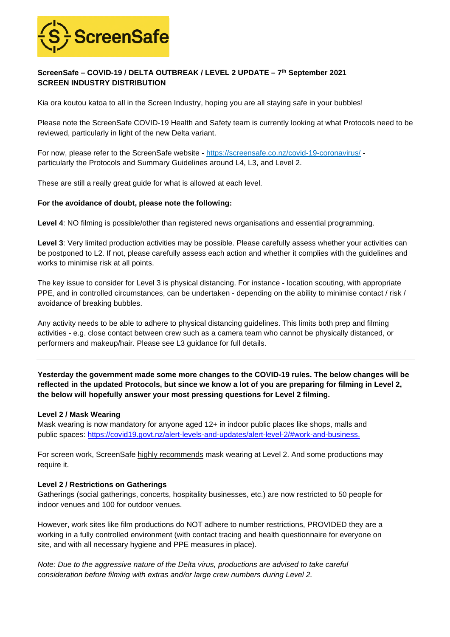

# **ScreenSafe – COVID-19 / DELTA OUTBREAK / LEVEL 2 UPDATE – 7th September 2021 SCREEN INDUSTRY DISTRIBUTION**

Kia ora koutou katoa to all in the Screen Industry, hoping you are all staying safe in your bubbles!

Please note the ScreenSafe COVID-19 Health and Safety team is currently looking at what Protocols need to be reviewed, particularly in light of the new Delta variant.

For now, please refer to the ScreenSafe website [- https://screensafe.co.nz/covid-19-coronavirus/](https://screensafe.co.nz/covid-19-coronavirus/) particularly the Protocols and Summary Guidelines around L4, L3, and Level 2.

These are still a really great guide for what is allowed at each level.

### **For the avoidance of doubt, please note the following:**

**Level 4**: NO filming is possible/other than registered news organisations and essential programming.

**Level 3**: Very limited production activities may be possible. Please carefully assess whether your activities can be postponed to L2. If not, please carefully assess each action and whether it complies with the guidelines and works to minimise risk at all points.

The key issue to consider for Level 3 is physical distancing. For instance - location scouting, with appropriate PPE, and in controlled circumstances, can be undertaken - depending on the ability to minimise contact / risk / avoidance of breaking bubbles.

Any activity needs to be able to adhere to physical distancing guidelines. This limits both prep and filming activities - e.g. close contact between crew such as a camera team who cannot be physically distanced, or performers and makeup/hair. Please see L3 guidance for full details.

**Yesterday the government made some more changes to the COVID-19 rules. The below changes will be reflected in the updated Protocols, but since we know a lot of you are preparing for filming in Level 2, the below will hopefully answer your most pressing questions for Level 2 filming.** 

#### **Level 2 / Mask Wearing**

Mask wearing is now mandatory for anyone aged 12+ in indoor public places like shops, malls and public spaces: [https://covid19.govt.nz/alert-levels-and-updates/alert-level-2/#work-and-business.](https://covid19.govt.nz/alert-levels-and-updates/alert-level-2/#work-and-business)

For screen work, ScreenSafe highly recommends mask wearing at Level 2. And some productions may require it.

## **Level 2 / Restrictions on Gatherings**

Gatherings (social gatherings, concerts, hospitality businesses, etc.) are now restricted to 50 people for indoor venues and 100 for outdoor venues.

However, work sites like film productions do NOT adhere to number restrictions, PROVIDED they are a working in a fully controlled environment (with contact tracing and health questionnaire for everyone on site, and with all necessary hygiene and PPE measures in place).

*Note: Due to the aggressive nature of the Delta virus, productions are advised to take careful consideration before filming with extras and/or large crew numbers during Level 2.*